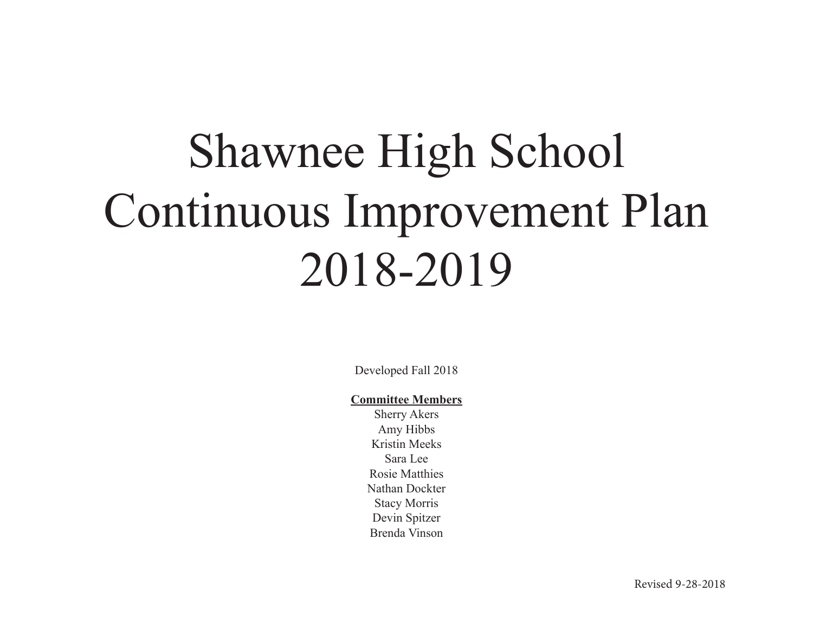# Shawnee High School Continuous Improvement Plan 2018-2019

Developed Fall 2018

### **Committee Members**

Sherry Akers Amy Hibbs Kristin Meeks Sara Lee Rosie Matthies Nathan Dockter Stacy Morris Devin Spitzer Brenda Vinson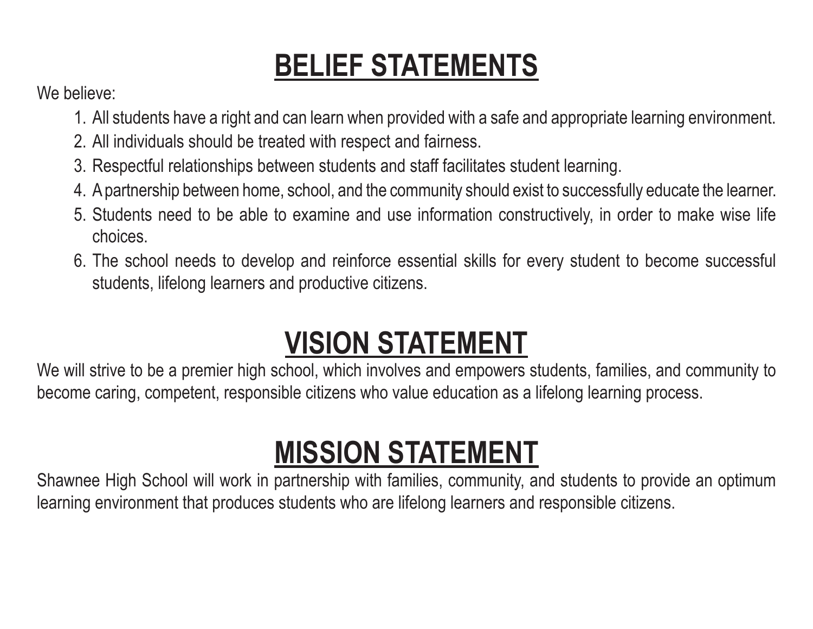## **BELIEF STATEMENTS**

We believe:

- 1. All students have a right and can learn when provided with a safe and appropriate learning environment.
- 2. All individuals should be treated with respect and fairness.
- 3. Respectful relationships between students and staff facilitates student learning.
- 4. A partnership between home, school, and the community should exist to successfully educate the learner.
- 5. Students need to be able to examine and use information constructively, in order to make wise life choices.
- 6. The school needs to develop and reinforce essential skills for every student to become successful students, lifelong learners and productive citizens.

# **VISION STATEMENT**

We will strive to be a premier high school, which involves and empowers students, families, and community to become caring, competent, responsible citizens who value education as a lifelong learning process.

# **MISSION STATEMENT**

Shawnee High School will work in partnership with families, community, and students to provide an optimum learning environment that produces students who are lifelong learners and responsible citizens.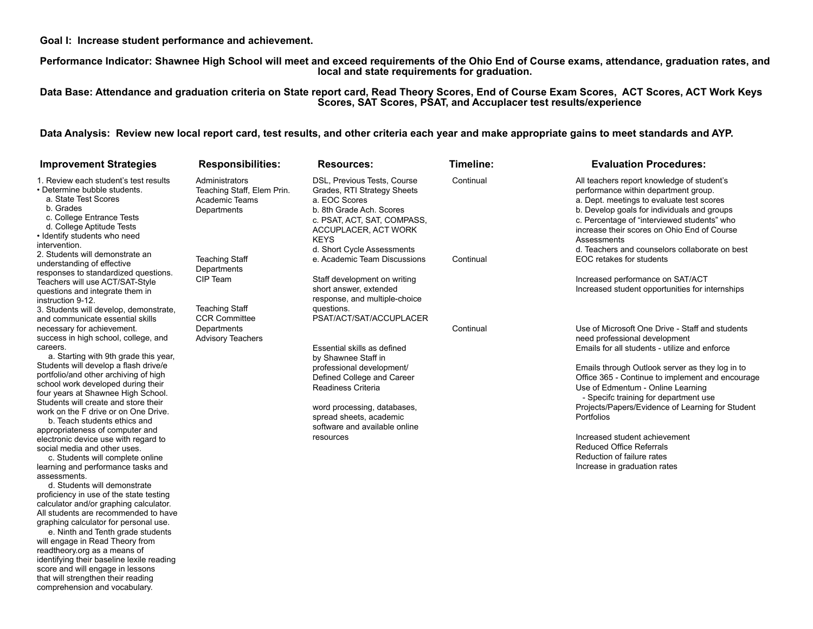**Goal I: Increase student performance and achievement.** 

that will strengthen their reading comprehension and vocabulary.

**Performance Indicator: Shawnee High School will meet and exceed requirements of the Ohio End of Course exams, attendance, graduation rates, and local and state requirements for graduation.**

**Data Base: Attendance and graduation criteria on State report card, Read Theory Scores, End of Course Exam Scores, ACT Scores, ACT Work Keys Scores, SAT Scores, PSAT, and Accuplacer test results/experience** 

#### **Data Analysis: Review new local report card, test results, and other criteria each year and make appropriate gains to meet standards and AYP.**

| <b>Improvement Strategies</b>                                                                                                                                                                                         | <b>Responsibilities:</b>                                                      | <b>Resources:</b>                                                                                                                                                                                           | Timeline: | <b>Evaluation Procedures:</b>                                                                                                                                                                                                                                                                                                                 |
|-----------------------------------------------------------------------------------------------------------------------------------------------------------------------------------------------------------------------|-------------------------------------------------------------------------------|-------------------------------------------------------------------------------------------------------------------------------------------------------------------------------------------------------------|-----------|-----------------------------------------------------------------------------------------------------------------------------------------------------------------------------------------------------------------------------------------------------------------------------------------------------------------------------------------------|
| 1. Review each student's test results<br>• Determine bubble students.<br>a. State Test Scores<br>b. Grades<br>c. College Entrance Tests<br>d. College Aptitude Tests<br>• Identify students who need<br>intervention. | Administrators<br>Teaching Staff, Elem Prin.<br>Academic Teams<br>Departments | DSL, Previous Tests, Course<br>Grades, RTI Strategy Sheets<br>a. EOC Scores<br>b. 8th Grade Ach. Scores<br>c. PSAT, ACT, SAT, COMPASS,<br>ACCUPLACER, ACT WORK<br><b>KEYS</b><br>d. Short Cycle Assessments | Continual | All teachers report knowledge of student's<br>performance within department group.<br>a. Dept. meetings to evaluate test scores<br>b. Develop goals for individuals and groups<br>c. Percentage of "interviewed students" who<br>increase their scores on Ohio End of Course<br>Assessments<br>d. Teachers and counselors collaborate on best |
| 2. Students will demonstrate an<br>understanding of effective                                                                                                                                                         | <b>Teaching Staff</b><br>Departments                                          | e. Academic Team Discussions                                                                                                                                                                                | Continual | EOC retakes for students                                                                                                                                                                                                                                                                                                                      |
| responses to standardized questions.<br>Teachers will use ACT/SAT-Style<br>questions and integrate them in<br>instruction 9-12.<br>3. Students will develop, demonstrate,                                             | CIP Team<br><b>Teaching Staff</b>                                             | Staff development on writing<br>short answer, extended<br>response, and multiple-choice<br>questions.                                                                                                       |           | Increased performance on SAT/ACT<br>Increased student opportunities for internships                                                                                                                                                                                                                                                           |
| and communicate essential skills                                                                                                                                                                                      | <b>CCR Committee</b>                                                          | PSAT/ACT/SAT/ACCUPLACER                                                                                                                                                                                     |           |                                                                                                                                                                                                                                                                                                                                               |
| necessary for achievement.<br>success in high school, college, and                                                                                                                                                    | Departments<br><b>Advisory Teachers</b>                                       |                                                                                                                                                                                                             | Continual | Use of Microsoft One Drive - Staff and students<br>need professional development                                                                                                                                                                                                                                                              |
| careers.<br>a. Starting with 9th grade this year,                                                                                                                                                                     |                                                                               | Essential skills as defined<br>by Shawnee Staff in                                                                                                                                                          |           | Emails for all students - utilize and enforce                                                                                                                                                                                                                                                                                                 |
| Students will develop a flash drive/e<br>portfolio/and other archiving of high                                                                                                                                        |                                                                               | professional development/<br>Defined College and Career                                                                                                                                                     |           | Emails through Outlook server as they log in to<br>Office 365 - Continue to implement and encourage                                                                                                                                                                                                                                           |
| school work developed during their<br>four years at Shawnee High School.                                                                                                                                              |                                                                               | Readiness Criteria                                                                                                                                                                                          |           | Use of Edmentum - Online Learning<br>- Specifc training for department use                                                                                                                                                                                                                                                                    |
| Students will create and store their<br>work on the F drive or on One Drive.                                                                                                                                          |                                                                               | word processing, databases,                                                                                                                                                                                 |           | Projects/Papers/Evidence of Learning for Student                                                                                                                                                                                                                                                                                              |
| b. Teach students ethics and<br>appropriateness of computer and                                                                                                                                                       |                                                                               | spread sheets, academic<br>software and available online                                                                                                                                                    |           | Portfolios                                                                                                                                                                                                                                                                                                                                    |
| electronic device use with regard to                                                                                                                                                                                  |                                                                               | resources                                                                                                                                                                                                   |           | Increased student achievement                                                                                                                                                                                                                                                                                                                 |
| social media and other uses.<br>c. Students will complete online                                                                                                                                                      |                                                                               |                                                                                                                                                                                                             |           | <b>Reduced Office Referrals</b><br>Reduction of failure rates                                                                                                                                                                                                                                                                                 |
| learning and performance tasks and                                                                                                                                                                                    |                                                                               |                                                                                                                                                                                                             |           | Increase in graduation rates                                                                                                                                                                                                                                                                                                                  |
| assessments.<br>d. Students will demonstrate                                                                                                                                                                          |                                                                               |                                                                                                                                                                                                             |           |                                                                                                                                                                                                                                                                                                                                               |
| proficiency in use of the state testing                                                                                                                                                                               |                                                                               |                                                                                                                                                                                                             |           |                                                                                                                                                                                                                                                                                                                                               |
| calculator and/or graphing calculator.<br>All students are recommended to have                                                                                                                                        |                                                                               |                                                                                                                                                                                                             |           |                                                                                                                                                                                                                                                                                                                                               |
| graphing calculator for personal use.                                                                                                                                                                                 |                                                                               |                                                                                                                                                                                                             |           |                                                                                                                                                                                                                                                                                                                                               |
| e. Ninth and Tenth grade students<br>will engage in Read Theory from                                                                                                                                                  |                                                                               |                                                                                                                                                                                                             |           |                                                                                                                                                                                                                                                                                                                                               |
| readtheory.org as a means of                                                                                                                                                                                          |                                                                               |                                                                                                                                                                                                             |           |                                                                                                                                                                                                                                                                                                                                               |
| identifying their baseline lexile reading<br>score and will engage in lessons                                                                                                                                         |                                                                               |                                                                                                                                                                                                             |           |                                                                                                                                                                                                                                                                                                                                               |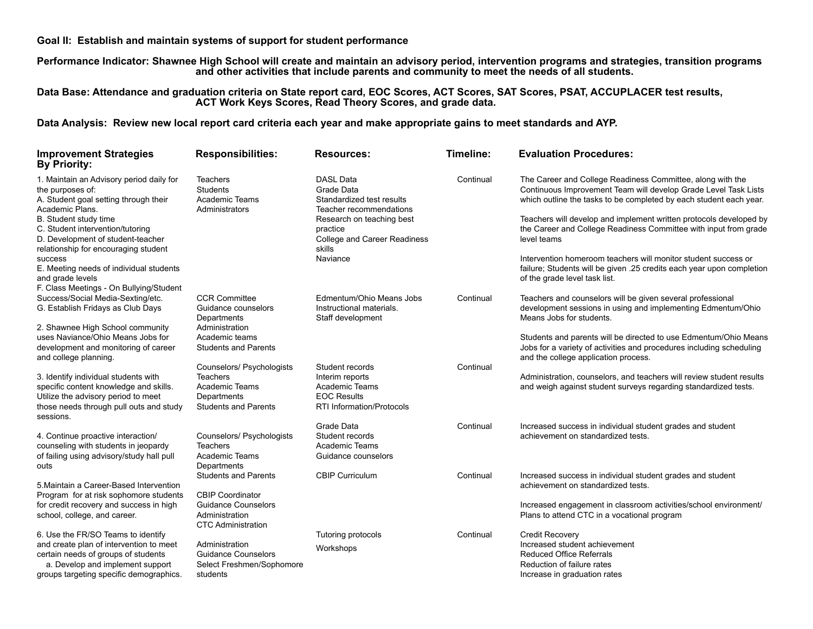#### **Goal II: Establish and maintain systems of support for student performance**

**Performance Indicator: Shawnee High School will create and maintain an advisory period, intervention programs and strategies, transition programs and other activities that include parents and community to meet the needs of all students.** 

**Data Base: Attendance and graduation criteria on State report card, EOC Scores, ACT Scores, SAT Scores, PSAT, ACCUPLACER test results, ACT Work Keys Scores, Read Theory Scores, and grade data.** 

**Data Analysis: Review new local report card criteria each year and make appropriate gains to meet standards and AYP.** 

| <b>Improvement Strategies</b><br><b>By Priority:</b>                                                                                                                                                                                                                                                                                                                                    | <b>Responsibilities:</b>                                                                                     | <b>Resources:</b>                                                                                                                                                                     | Timeline: | <b>Evaluation Procedures:</b>                                                                                                                                                                                                                                                                                                                                                                                                                                                                                                            |
|-----------------------------------------------------------------------------------------------------------------------------------------------------------------------------------------------------------------------------------------------------------------------------------------------------------------------------------------------------------------------------------------|--------------------------------------------------------------------------------------------------------------|---------------------------------------------------------------------------------------------------------------------------------------------------------------------------------------|-----------|------------------------------------------------------------------------------------------------------------------------------------------------------------------------------------------------------------------------------------------------------------------------------------------------------------------------------------------------------------------------------------------------------------------------------------------------------------------------------------------------------------------------------------------|
| 1. Maintain an Advisory period daily for<br>the purposes of:<br>A. Student goal setting through their<br>Academic Plans.<br>B. Student study time<br>C. Student intervention/tutoring<br>D. Development of student-teacher<br>relationship for encouraging student<br>success<br>E. Meeting needs of individual students<br>and grade levels<br>F. Class Meetings - On Bullying/Student | Teachers<br>Students<br>Academic Teams<br>Administrators                                                     | <b>DASL Data</b><br>Grade Data<br>Standardized test results<br>Teacher recommendations<br>Research on teaching best<br>practice<br>College and Career Readiness<br>skills<br>Naviance | Continual | The Career and College Readiness Committee, along with the<br>Continuous Improvement Team will develop Grade Level Task Lists<br>which outline the tasks to be completed by each student each year.<br>Teachers will develop and implement written protocols developed by<br>the Career and College Readiness Committee with input from grade<br>level teams<br>Intervention homeroom teachers will monitor student success or<br>failure; Students will be given .25 credits each year upon completion<br>of the grade level task list. |
| Success/Social Media-Sexting/etc.<br>G. Establish Fridays as Club Days<br>2. Shawnee High School community                                                                                                                                                                                                                                                                              | <b>CCR Committee</b><br>Guidance counselors<br>Departments<br>Administration                                 | Edmentum/Ohio Means Jobs<br>Instructional materials.<br>Staff development                                                                                                             | Continual | Teachers and counselors will be given several professional<br>development sessions in using and implementing Edmentum/Ohio<br>Means Jobs for students.                                                                                                                                                                                                                                                                                                                                                                                   |
| uses Naviance/Ohio Means Jobs for<br>development and monitoring of career<br>and college planning.                                                                                                                                                                                                                                                                                      | Academic teams<br><b>Students and Parents</b>                                                                |                                                                                                                                                                                       |           | Students and parents will be directed to use Edmentum/Ohio Means<br>Jobs for a variety of activities and procedures including scheduling<br>and the college application process.                                                                                                                                                                                                                                                                                                                                                         |
| 3. Identify individual students with<br>specific content knowledge and skills.<br>Utilize the advisory period to meet<br>those needs through pull outs and study<br>sessions.                                                                                                                                                                                                           | Counselors/ Psychologists<br><b>Teachers</b><br>Academic Teams<br>Departments<br><b>Students and Parents</b> | Student records<br>Interim reports<br>Academic Teams<br><b>EOC Results</b><br>RTI Information/Protocols                                                                               | Continual | Administration, counselors, and teachers will review student results<br>and weigh against student surveys regarding standardized tests.                                                                                                                                                                                                                                                                                                                                                                                                  |
| 4. Continue proactive interaction/<br>counseling with students in jeopardy<br>of failing using advisory/study hall pull<br>outs                                                                                                                                                                                                                                                         | Counselors/ Psychologists<br><b>Teachers</b><br>Academic Teams<br>Departments                                | Grade Data<br>Student records<br>Academic Teams<br>Guidance counselors                                                                                                                | Continual | Increased success in individual student grades and student<br>achievement on standardized tests.                                                                                                                                                                                                                                                                                                                                                                                                                                         |
| 5. Maintain a Career-Based Intervention<br>Program for at risk sophomore students                                                                                                                                                                                                                                                                                                       | <b>Students and Parents</b><br><b>CBIP Coordinator</b>                                                       | <b>CBIP Curriculum</b>                                                                                                                                                                | Continual | Increased success in individual student grades and student<br>achievement on standardized tests.                                                                                                                                                                                                                                                                                                                                                                                                                                         |
| for credit recovery and success in high<br>school, college, and career.                                                                                                                                                                                                                                                                                                                 | <b>Guidance Counselors</b><br>Administration<br><b>CTC Administration</b>                                    |                                                                                                                                                                                       |           | Increased engagement in classroom activities/school environment/<br>Plans to attend CTC in a vocational program                                                                                                                                                                                                                                                                                                                                                                                                                          |
| 6. Use the FR/SO Teams to identify<br>and create plan of intervention to meet<br>certain needs of groups of students<br>a. Develop and implement support<br>groups targeting specific demographics.                                                                                                                                                                                     | Administration<br><b>Guidance Counselors</b><br>Select Freshmen/Sophomore<br>students                        | Tutoring protocols<br>Workshops                                                                                                                                                       | Continual | <b>Credit Recovery</b><br>Increased student achievement<br><b>Reduced Office Referrals</b><br>Reduction of failure rates<br>Increase in graduation rates                                                                                                                                                                                                                                                                                                                                                                                 |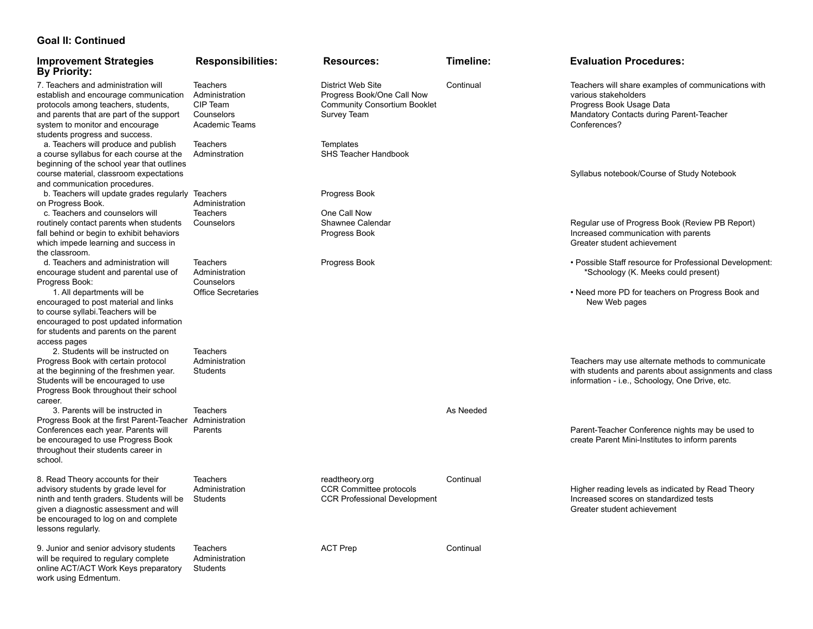### **Goal II: Continued**

work using Edmentum.

| <b>Improvement Strategies</b><br><b>By Priority:</b>                                                                                                                                                                                 | <b>Responsibilities:</b>                                                      | <b>Resources:</b>                                                                                            | Timeline: | <b>Evaluation Procedures:</b>                                                                                                                                       |
|--------------------------------------------------------------------------------------------------------------------------------------------------------------------------------------------------------------------------------------|-------------------------------------------------------------------------------|--------------------------------------------------------------------------------------------------------------|-----------|---------------------------------------------------------------------------------------------------------------------------------------------------------------------|
| 7. Teachers and administration will<br>establish and encourage communication<br>protocols among teachers, students,<br>and parents that are part of the support<br>system to monitor and encourage<br>students progress and success. | <b>Teachers</b><br>Administration<br>CIP Team<br>Counselors<br>Academic Teams | <b>District Web Site</b><br>Progress Book/One Call Now<br><b>Community Consortium Booklet</b><br>Survey Team | Continual | Teachers will share examples of communications with<br>various stakeholders<br>Progress Book Usage Data<br>Mandatory Contacts during Parent-Teacher<br>Conferences? |
| a. Teachers will produce and publish<br>a course syllabus for each course at the<br>beginning of the school year that outlines<br>course material, classroom expectations                                                            | <b>Teachers</b><br>Adminstration                                              | <b>Templates</b><br><b>SHS Teacher Handbook</b>                                                              |           | Syllabus notebook/Course of Study Notebook                                                                                                                          |
| and communication procedures.<br>b. Teachers will update grades regularly Teachers<br>on Progress Book.<br>c. Teachers and counselors will                                                                                           | Administration<br><b>Teachers</b>                                             | Progress Book<br>One Call Now                                                                                |           |                                                                                                                                                                     |
| routinely contact parents when students<br>fall behind or begin to exhibit behaviors<br>which impede learning and success in<br>the classroom.                                                                                       | Counselors                                                                    | Shawnee Calendar<br>Progress Book                                                                            |           | Regular use of Progress Book (Review PB Report)<br>Increased communication with parents<br>Greater student achievement                                              |
| d. Teachers and administration will<br>encourage student and parental use of<br>Progress Book:                                                                                                                                       | Teachers<br>Administration<br>Counselors                                      | Progress Book                                                                                                |           | . Possible Staff resource for Professional Development:<br>*Schoology (K. Meeks could present)                                                                      |
| 1. All departments will be<br>encouraged to post material and links<br>to course syllabi. Teachers will be<br>encouraged to post updated information<br>for students and parents on the parent<br>access pages                       | <b>Office Secretaries</b>                                                     |                                                                                                              |           | • Need more PD for teachers on Progress Book and<br>New Web pages                                                                                                   |
| 2. Students will be instructed on<br>Progress Book with certain protocol<br>at the beginning of the freshmen year.<br>Students will be encouraged to use<br>Progress Book throughout their school<br>career.                         | Teachers<br>Administration<br>Students                                        |                                                                                                              |           | Teachers may use alternate methods to communicate<br>with students and parents about assignments and class<br>information - i.e., Schoology, One Drive, etc.        |
| 3. Parents will be instructed in<br>Progress Book at the first Parent-Teacher Administration<br>Conferences each year. Parents will<br>be encouraged to use Progress Book<br>throughout their students career in<br>school.          | Teachers<br>Parents                                                           |                                                                                                              | As Needed | Parent-Teacher Conference nights may be used to<br>create Parent Mini-Institutes to inform parents                                                                  |
| 8. Read Theory accounts for their<br>advisory students by grade level for<br>ninth and tenth graders. Students will be<br>given a diagnostic assessment and will<br>be encouraged to log on and complete<br>lessons regularly.       | <b>Teachers</b><br>Administration<br><b>Students</b>                          | readtheory.org<br><b>CCR Committee protocols</b><br><b>CCR Professional Development</b>                      | Continual | Higher reading levels as indicated by Read Theory<br>Increased scores on standardized tests<br>Greater student achievement                                          |
| 9. Junior and senior advisory students<br>will be required to regulary complete<br>online ACT/ACT Work Keys preparatory                                                                                                              | <b>Teachers</b><br>Administration<br>Students                                 | <b>ACT Prep</b>                                                                                              | Continual |                                                                                                                                                                     |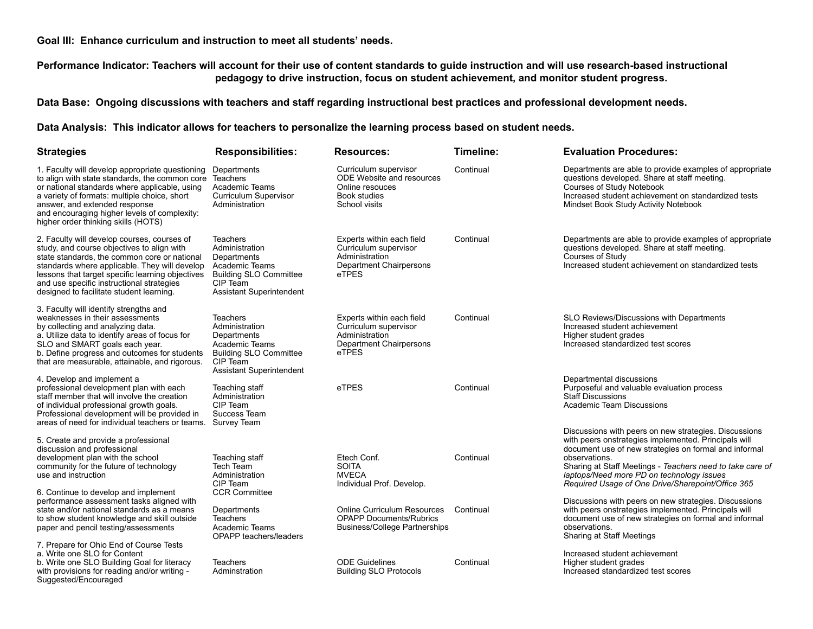**Goal III: Enhance curriculum and instruction to meet all students' needs.**

**Performance Indicator: Teachers will account for their use of content standards to guide instruction and will use research-based instructional pedagogy to drive instruction, focus on student achievement, and monitor student progress.** 

**Data Base: Ongoing discussions with teachers and staff regarding instructional best practices and professional development needs.** 

**Data Analysis: This indicator allows for teachers to personalize the learning process based on student needs.** 

| <b>Strategies</b>                                                                                                                                                                                                                                                                                                                       | <b>Responsibilities:</b>                                                                                                                    | <b>Resources:</b>                                                                                               | Timeline: | <b>Evaluation Procedures:</b>                                                                                                                                                                                                                                                                                                                          |
|-----------------------------------------------------------------------------------------------------------------------------------------------------------------------------------------------------------------------------------------------------------------------------------------------------------------------------------------|---------------------------------------------------------------------------------------------------------------------------------------------|-----------------------------------------------------------------------------------------------------------------|-----------|--------------------------------------------------------------------------------------------------------------------------------------------------------------------------------------------------------------------------------------------------------------------------------------------------------------------------------------------------------|
| 1. Faculty will develop appropriate questioning<br>to align with state standards, the common core<br>or national standards where applicable, using<br>a variety of formats: multiple choice, short<br>answer, and extended response<br>and encouraging higher levels of complexity:<br>higher order thinking skills (HOTS)              | Departments<br>Teachers<br>Academic Teams<br>Curriculum Supervisor<br>Administration                                                        | Curriculum supervisor<br>ODE Website and resources<br>Online resouces<br>Book studies<br>School visits          | Continual | Departments are able to provide examples of appropriate<br>questions developed. Share at staff meeting.<br>Courses of Study Notebook<br>Increased student achievement on standardized tests<br>Mindset Book Study Activity Notebook                                                                                                                    |
| 2. Faculty will develop courses, courses of<br>study, and course objectives to align with<br>state standards, the common core or national<br>standards where applicable. They will develop<br>lessons that target specific learning objectives<br>and use specific instructional strategies<br>designed to facilitate student learning. | <b>Teachers</b><br>Administration<br>Departments<br>Academic Teams<br><b>Building SLO Committee</b><br>CIP Team<br>Assistant Superintendent | Experts within each field<br>Curriculum supervisor<br>Administration<br><b>Department Chairpersons</b><br>eTPES | Continual | Departments are able to provide examples of appropriate<br>questions developed. Share at staff meeting.<br>Courses of Study<br>Increased student achievement on standardized tests                                                                                                                                                                     |
| 3. Faculty will identify strengths and<br>weaknesses in their assessments<br>by collecting and analyzing data.<br>a. Utilize data to identify areas of focus for<br>SLO and SMART goals each year.<br>b. Define progress and outcomes for students<br>that are measurable, attainable, and rigorous.                                    | Teachers<br>Administration<br>Departments<br>Academic Teams<br><b>Building SLO Committee</b><br>CIP Team<br>Assistant Superintendent        | Experts within each field<br>Curriculum supervisor<br>Administration<br><b>Department Chairpersons</b><br>eTPES | Continual | SLO Reviews/Discussions with Departments<br>Increased student achievement<br>Higher student grades<br>Increased standardized test scores                                                                                                                                                                                                               |
| 4. Develop and implement a<br>professional development plan with each<br>staff member that will involve the creation<br>of individual professional growth goals.<br>Professional development will be provided in<br>areas of need for individual teachers or teams.                                                                     | Teaching staff<br>Administration<br>CIP Team<br>Success Team<br>Survey Team                                                                 | eTPES                                                                                                           | Continual | Departmental discussions<br>Purposeful and valuable evaluation process<br><b>Staff Discussions</b><br><b>Academic Team Discussions</b>                                                                                                                                                                                                                 |
| 5. Create and provide a professional<br>discussion and professional<br>development plan with the school<br>community for the future of technology<br>use and instruction                                                                                                                                                                | Teaching staff<br>Tech Team<br>Administration<br>CIP Team                                                                                   | Etech Conf.<br><b>SOITA</b><br><b>MVECA</b><br>Individual Prof. Develop.                                        | Continual | Discussions with peers on new strategies. Discussions<br>with peers onstrategies implemented. Principals will<br>document use of new strategies on formal and informal<br>observations.<br>Sharing at Staff Meetings - Teachers need to take care of<br>laptops/Need more PD on technology issues<br>Required Usage of One Drive/Sharepoint/Office 365 |
| 6. Continue to develop and implement<br>performance assessment tasks aligned with<br>state and/or national standards as a means<br>to show student knowledge and skill outside<br>paper and pencil testing/assessments                                                                                                                  | <b>CCR Committee</b><br>Departments<br>Teachers<br>Academic Teams<br>OPAPP teachers/leaders                                                 | <b>Online Curriculum Resources</b><br><b>OPAPP Documents/Rubrics</b><br><b>Business/College Partnerships</b>    | Continual | Discussions with peers on new strategies. Discussions<br>with peers onstrategies implemented. Principals will<br>document use of new strategies on formal and informal<br>observations.<br><b>Sharing at Staff Meetings</b>                                                                                                                            |
| 7. Prepare for Ohio End of Course Tests<br>a. Write one SLO for Content<br>b. Write one SLO Building Goal for literacy<br>with provisions for reading and/or writing -<br>Suggested/Encouraged                                                                                                                                          | <b>Teachers</b><br>Adminstration                                                                                                            | <b>ODE Guidelines</b><br><b>Building SLO Protocols</b>                                                          | Continual | Increased student achievement<br>Higher student grades<br>Increased standardized test scores                                                                                                                                                                                                                                                           |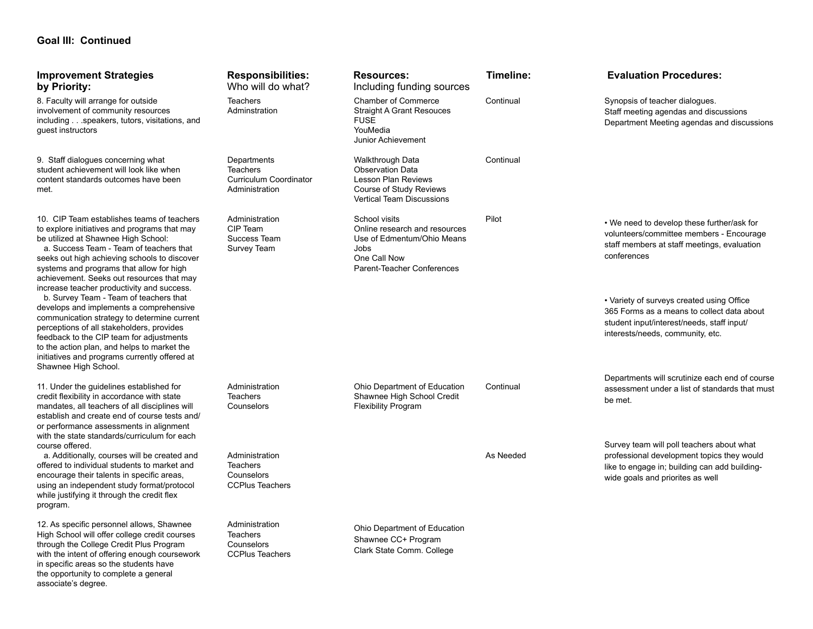### **Goal III: Continued**

| <b>Improvement Strategies</b><br>by Priority:                                                                                                                                                                                                                                                                                                                       | <b>Responsibilities:</b><br>Who will do what?                              | <b>Resources:</b><br>Including funding sources                                                                                           | Timeline: | <b>Evaluation Procedures:</b>                                                                                                                                                                                               |
|---------------------------------------------------------------------------------------------------------------------------------------------------------------------------------------------------------------------------------------------------------------------------------------------------------------------------------------------------------------------|----------------------------------------------------------------------------|------------------------------------------------------------------------------------------------------------------------------------------|-----------|-----------------------------------------------------------------------------------------------------------------------------------------------------------------------------------------------------------------------------|
| 8. Faculty will arrange for outside<br>involvement of community resources<br>including speakers, tutors, visitations, and<br>guest instructors                                                                                                                                                                                                                      | <b>Teachers</b><br>Adminstration                                           | <b>Chamber of Commerce</b><br><b>Straight A Grant Resouces</b><br><b>FUSE</b><br>YouMedia<br>Junior Achievement                          | Continual | Synopsis of teacher dialogues.<br>Staff meeting agendas and discussions<br>Department Meeting agendas and discussions                                                                                                       |
| 9. Staff dialogues concerning what<br>student achievement will look like when<br>content standards outcomes have been<br>met.                                                                                                                                                                                                                                       | Departments<br><b>Teachers</b><br>Curriculum Coordinator<br>Administration | Walkthrough Data<br><b>Observation Data</b><br><b>Lesson Plan Reviews</b><br>Course of Study Reviews<br><b>Vertical Team Discussions</b> | Continual |                                                                                                                                                                                                                             |
| 10. CIP Team establishes teams of teachers<br>to explore initiatives and programs that may<br>be utilized at Shawnee High School:<br>a. Success Team - Team of teachers that<br>seeks out high achieving schools to discover<br>systems and programs that allow for high<br>achievement. Seeks out resources that may<br>increase teacher productivity and success. | Administration<br>CIP Team<br>Success Team<br>Survey Team                  | School visits<br>Online research and resources<br>Use of Edmentum/Ohio Means<br>Jobs<br>One Call Now<br>Parent-Teacher Conferences       | Pilot     | . We need to develop these further/ask for<br>volunteers/committee members - Encourage<br>staff members at staff meetings, evaluation<br>conferences                                                                        |
| b. Survey Team - Team of teachers that<br>develops and implements a comprehensive<br>communication strategy to determine current<br>perceptions of all stakeholders, provides<br>feedback to the CIP team for adjustments<br>to the action plan, and helps to market the<br>initiatives and programs currently offered at<br>Shawnee High School.                   |                                                                            |                                                                                                                                          |           | • Variety of surveys created using Office<br>365 Forms as a means to collect data about<br>student input/interest/needs, staff input/<br>interests/needs, community, etc.<br>Departments will scrutinize each end of course |
| 11. Under the guidelines established for<br>credit flexibility in accordance with state<br>mandates, all teachers of all disciplines will<br>establish and create end of course tests and/<br>or performance assessments in alignment<br>with the state standards/curriculum for each                                                                               | Administration<br><b>Teachers</b><br>Counselors                            | Ohio Department of Education<br>Shawnee High School Credit<br><b>Flexibility Program</b>                                                 | Continual | assessment under a list of standards that must<br>be met.                                                                                                                                                                   |
| course offered.<br>a. Additionally, courses will be created and<br>offered to individual students to market and<br>encourage their talents in specific areas,<br>using an independent study format/protocol<br>while justifying it through the credit flex<br>program.                                                                                              | Administration<br><b>Teachers</b><br>Counselors<br><b>CCPlus Teachers</b>  |                                                                                                                                          | As Needed | Survey team will poll teachers about what<br>professional development topics they would<br>like to engage in; building can add building-<br>wide goals and priorites as well                                                |
| 12. As specific personnel allows, Shawnee<br>High School will offer college credit courses<br>through the College Credit Plus Program<br>with the intent of offering enough coursework<br>in specific areas so the students have<br>the opportunity to complete a general<br>associate's degree.                                                                    | Administration<br><b>Teachers</b><br>Counselors<br><b>CCPlus Teachers</b>  | Ohio Department of Education<br>Shawnee CC+ Program<br>Clark State Comm. College                                                         |           |                                                                                                                                                                                                                             |